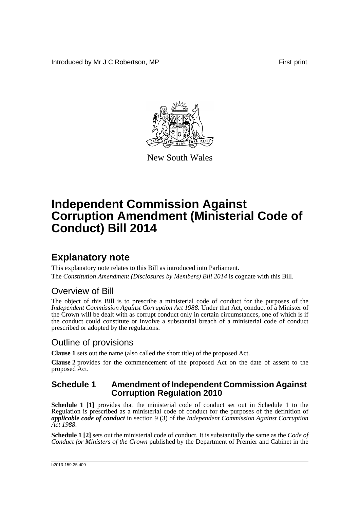Introduced by Mr J C Robertson, MP **First** print



New South Wales

# **Independent Commission Against Corruption Amendment (Ministerial Code of Conduct) Bill 2014**

## **Explanatory note**

This explanatory note relates to this Bill as introduced into Parliament. The *Constitution Amendment (Disclosures by Members) Bill 2014* is cognate with this Bill.

## Overview of Bill

The object of this Bill is to prescribe a ministerial code of conduct for the purposes of the *Independent Commission Against Corruption Act 1988*. Under that Act, conduct of a Minister of the Crown will be dealt with as corrupt conduct only in certain circumstances, one of which is if the conduct could constitute or involve a substantial breach of a ministerial code of conduct prescribed or adopted by the regulations.

## Outline of provisions

**Clause 1** sets out the name (also called the short title) of the proposed Act.

**Clause 2** provides for the commencement of the proposed Act on the date of assent to the proposed Act.

#### **Schedule 1 Amendment of Independent Commission Against Corruption Regulation 2010**

**Schedule 1 [1]** provides that the ministerial code of conduct set out in Schedule 1 to the Regulation is prescribed as a ministerial code of conduct for the purposes of the definition of *applicable code of conduct* in section 9 (3) of the *Independent Commission Against Corruption Act 1988*.

**Schedule 1 [2]** sets out the ministerial code of conduct. It is substantially the same as the *Code of Conduct for Ministers of the Crown* published by the Department of Premier and Cabinet in the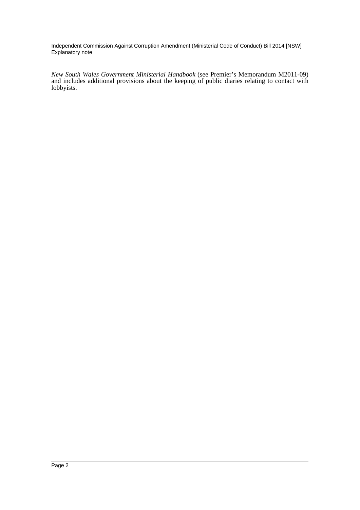Independent Commission Against Corruption Amendment (Ministerial Code of Conduct) Bill 2014 [NSW] Explanatory note

*New South Wales Government Ministerial Handbook* (see Premier's Memorandum M2011-09) and includes additional provisions about the keeping of public diaries relating to contact with lobbyists.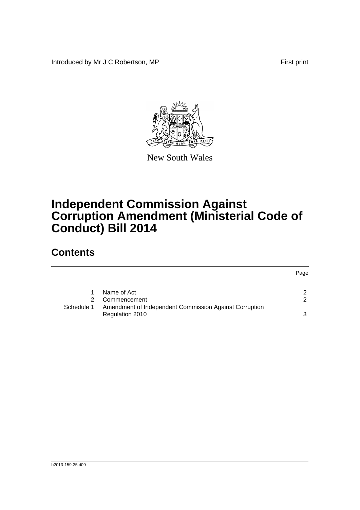Introduced by Mr J C Robertson, MP First print



New South Wales

# **Independent Commission Against Corruption Amendment (Ministerial Code of Conduct) Bill 2014**

## **Contents**

|            |                                                                           | Page          |
|------------|---------------------------------------------------------------------------|---------------|
|            | Name of Act                                                               | 2             |
|            | Commencement                                                              | $\mathcal{P}$ |
| Schedule 1 | Amendment of Independent Commission Against Corruption<br>Regulation 2010 | 3             |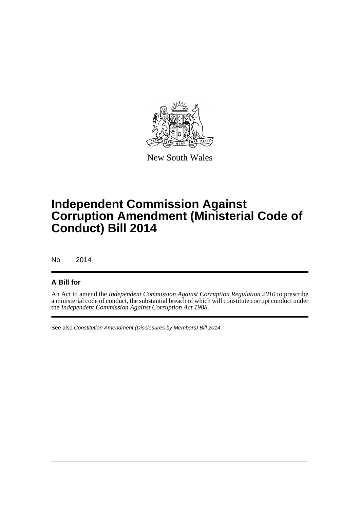

New South Wales

# **Independent Commission Against Corruption Amendment (Ministerial Code of Conduct) Bill 2014**

No , 2014

#### **A Bill for**

An Act to amend the *Independent Commission Against Corruption Regulation 2010* to prescribe a ministerial code of conduct, the substantial breach of which will constitute corrupt conduct under the *Independent Commission Against Corruption Act 1988*.

See also *Constitution Amendment (Disclosures by Members) Bill 2014*.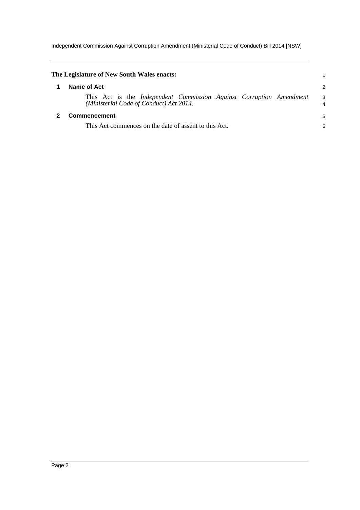Independent Commission Against Corruption Amendment (Ministerial Code of Conduct) Bill 2014 [NSW]

<span id="page-4-1"></span><span id="page-4-0"></span>

| The Legislature of New South Wales enacts:                                                                     |                     |
|----------------------------------------------------------------------------------------------------------------|---------------------|
| Name of Act                                                                                                    | 2                   |
| This Act is the Independent Commission Against Corruption Amendment<br>(Ministerial Code of Conduct) Act 2014. | 3<br>$\overline{4}$ |
| Commencement                                                                                                   | 5                   |
| This Act commences on the date of assent to this Act.                                                          | 6                   |
|                                                                                                                |                     |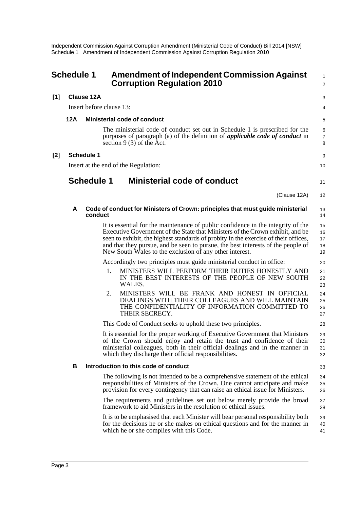<span id="page-5-0"></span>

|     | <b>Schedule 1</b> |                          |    | <b>Amendment of Independent Commission Against</b><br><b>Corruption Regulation 2010</b>                                                                                                                                                                                                                                                                                                                 | 1<br>$\overline{2}$        |
|-----|-------------------|--------------------------|----|---------------------------------------------------------------------------------------------------------------------------------------------------------------------------------------------------------------------------------------------------------------------------------------------------------------------------------------------------------------------------------------------------------|----------------------------|
| [1] |                   | <b>Clause 12A</b>        |    |                                                                                                                                                                                                                                                                                                                                                                                                         | 3                          |
|     |                   | Insert before clause 13: |    |                                                                                                                                                                                                                                                                                                                                                                                                         | 4                          |
|     | 12A               |                          |    | <b>Ministerial code of conduct</b>                                                                                                                                                                                                                                                                                                                                                                      | 5                          |
|     |                   |                          |    | The ministerial code of conduct set out in Schedule 1 is prescribed for the<br>purposes of paragraph (a) of the definition of <i>applicable code of conduct</i> in<br>section $9(3)$ of the Act.                                                                                                                                                                                                        | 6<br>$\overline{7}$<br>8   |
| [2] |                   | <b>Schedule 1</b>        |    |                                                                                                                                                                                                                                                                                                                                                                                                         | 9                          |
|     |                   |                          |    | Insert at the end of the Regulation:                                                                                                                                                                                                                                                                                                                                                                    | 10                         |
|     |                   | <b>Schedule 1</b>        |    | <b>Ministerial code of conduct</b>                                                                                                                                                                                                                                                                                                                                                                      | 11                         |
|     |                   |                          |    | (Clause 12A)                                                                                                                                                                                                                                                                                                                                                                                            | 12                         |
|     | A                 | conduct                  |    | Code of conduct for Ministers of Crown: principles that must guide ministerial                                                                                                                                                                                                                                                                                                                          | 13<br>14                   |
|     |                   |                          |    | It is essential for the maintenance of public confidence in the integrity of the<br>Executive Government of the State that Ministers of the Crown exhibit, and be<br>seen to exhibit, the highest standards of probity in the exercise of their offices,<br>and that they pursue, and be seen to pursue, the best interests of the people of<br>New South Wales to the exclusion of any other interest. | 15<br>16<br>17<br>18<br>19 |
|     |                   |                          |    | Accordingly two principles must guide ministerial conduct in office:                                                                                                                                                                                                                                                                                                                                    | 20                         |
|     |                   |                          | 1. | MINISTERS WILL PERFORM THEIR DUTIES HONESTLY AND<br>IN THE BEST INTERESTS OF THE PEOPLE OF NEW SOUTH<br>WALES.                                                                                                                                                                                                                                                                                          | 21<br>22<br>23             |
|     |                   |                          | 2. | MINISTERS WILL BE FRANK AND HONEST IN OFFICIAL<br>DEALINGS WITH THEIR COLLEAGUES AND WILL MAINTAIN<br>THE CONFIDENTIALITY OF INFORMATION COMMITTED TO<br>THEIR SECRECY.                                                                                                                                                                                                                                 | 24<br>25<br>26<br>27       |
|     |                   |                          |    | This Code of Conduct seeks to uphold these two principles.                                                                                                                                                                                                                                                                                                                                              | 28                         |
|     |                   |                          |    | It is essential for the proper working of Executive Government that Ministers<br>of the Crown should enjoy and retain the trust and confidence of their<br>ministerial colleagues, both in their official dealings and in the manner in<br>which they discharge their official responsibilities.                                                                                                        | 29<br>30<br>31<br>32       |
|     | В                 |                          |    | Introduction to this code of conduct                                                                                                                                                                                                                                                                                                                                                                    | 33                         |
|     |                   |                          |    | The following is not intended to be a comprehensive statement of the ethical<br>responsibilities of Ministers of the Crown. One cannot anticipate and make<br>provision for every contingency that can raise an ethical issue for Ministers.                                                                                                                                                            | 34<br>35<br>36             |
|     |                   |                          |    | The requirements and guidelines set out below merely provide the broad<br>framework to aid Ministers in the resolution of ethical issues.                                                                                                                                                                                                                                                               | 37<br>38                   |
|     |                   |                          |    | It is to be emphasised that each Minister will bear personal responsibility both<br>for the decisions he or she makes on ethical questions and for the manner in<br>which he or she complies with this Code.                                                                                                                                                                                            | 39<br>40<br>41             |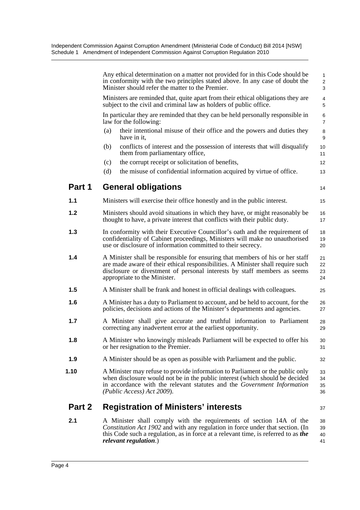|        | Any ethical determination on a matter not provided for in this Code should be<br>in conformity with the two principles stated above. In any case of doubt the<br>Minister should refer the matter to the Premier.                                                            | $\mathbf{1}$<br>$\overline{2}$<br>3 |
|--------|------------------------------------------------------------------------------------------------------------------------------------------------------------------------------------------------------------------------------------------------------------------------------|-------------------------------------|
|        | Ministers are reminded that, quite apart from their ethical obligations they are<br>subject to the civil and criminal law as holders of public office.                                                                                                                       | 4<br>5                              |
|        | In particular they are reminded that they can be held personally responsible in<br>law for the following:                                                                                                                                                                    | 6<br>$\overline{7}$                 |
|        | their intentional misuse of their office and the powers and duties they<br>(a)<br>have in it,                                                                                                                                                                                | 8<br>9                              |
|        | conflicts of interest and the possession of interests that will disqualify<br>(b)<br>them from parliamentary office,                                                                                                                                                         | 10<br>11                            |
|        | the corrupt receipt or solicitation of benefits,<br>(c)                                                                                                                                                                                                                      | 12                                  |
|        | (d)<br>the misuse of confidential information acquired by virtue of office.                                                                                                                                                                                                  | 13                                  |
| Part 1 | <b>General obligations</b>                                                                                                                                                                                                                                                   | 14                                  |
| 1.1    | Ministers will exercise their office honestly and in the public interest.                                                                                                                                                                                                    | 15                                  |
| 1.2    | Ministers should avoid situations in which they have, or might reasonably be<br>thought to have, a private interest that conflicts with their public duty.                                                                                                                   | 16<br>17                            |
| 1.3    | In conformity with their Executive Councillor's oath and the requirement of<br>confidentiality of Cabinet proceedings, Ministers will make no unauthorised<br>use or disclosure of information committed to their secrecy.                                                   | 18<br>19<br>20                      |
| 1.4    | A Minister shall be responsible for ensuring that members of his or her staff<br>are made aware of their ethical responsibilities. A Minister shall require such<br>disclosure or divestment of personal interests by staff members as seems<br>appropriate to the Minister. | 21<br>22<br>23<br>24                |
| 1.5    | A Minister shall be frank and honest in official dealings with colleagues.                                                                                                                                                                                                   | 25                                  |
| 1.6    | A Minister has a duty to Parliament to account, and be held to account, for the<br>policies, decisions and actions of the Minister's departments and agencies.                                                                                                               | 26<br>27                            |
| 1.7    | A Minister shall give accurate and truthful information to Parliament<br>correcting any inadvertent error at the earliest opportunity.                                                                                                                                       | 28<br>29                            |
| 1.8    | A Minister who knowingly misleads Parliament will be expected to offer his<br>or her resignation to the Premier.                                                                                                                                                             | 30<br>31                            |
| 1.9    | A Minister should be as open as possible with Parliament and the public.                                                                                                                                                                                                     | 32                                  |
| 1.10   | A Minister may refuse to provide information to Parliament or the public only<br>when disclosure would not be in the public interest (which should be decided<br>in accordance with the relevant statutes and the Government Information<br>(Public Access) Act 2009).       | 33<br>34<br>35<br>36                |
| Part 2 | <b>Registration of Ministers' interests</b>                                                                                                                                                                                                                                  | 37                                  |
| 2.1    | A Minister shall comply with the requirements of section 14A of the<br>Constitution Act 1902 and with any regulation in force under that section. (In<br>this Code such a regulation, as in force at a relevant time, is referred to as the                                  | 38<br>39<br>40                      |

40 41

*relevant regulation*.)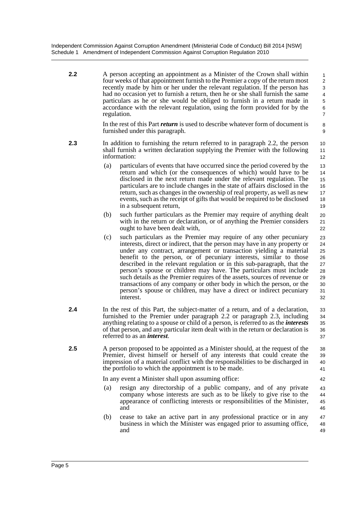**2.2** A person accepting an appointment as a Minister of the Crown shall within four weeks of that appointment furnish to the Premier a copy of the return most recently made by him or her under the relevant regulation. If the person has had no occasion yet to furnish a return, then he or she shall furnish the same particulars as he or she would be obliged to furnish in a return made in accordance with the relevant regulation, using the form provided for by the regulation. 1 2 3 5 6 7

> In the rest of this Part *return* is used to describe whatever form of document is furnished under this paragraph.

4

8 **9** 

42

47 48 49

- **2.3** In addition to furnishing the return referred to in paragraph 2.2, the person shall furnish a written declaration supplying the Premier with the following information:  $1<sub>0</sub>$ 11 12
	- (a) particulars of events that have occurred since the period covered by the return and which (or the consequences of which) would have to be disclosed in the next return made under the relevant regulation. The particulars are to include changes in the state of affairs disclosed in the return, such as changes in the ownership of real property, as well as new events, such as the receipt of gifts that would be required to be disclosed in a subsequent return, 13 14 15 16 17 18 19
	- (b) such further particulars as the Premier may require of anything dealt with in the return or declaration, or of anything the Premier considers ought to have been dealt with, 20  $21$ 22
	- (c) such particulars as the Premier may require of any other pecuniary interests, direct or indirect, that the person may have in any property or under any contract, arrangement or transaction yielding a material benefit to the person, or of pecuniary interests, similar to those described in the relevant regulation or in this sub-paragraph, that the person's spouse or children may have. The particulars must include such details as the Premier requires of the assets, sources of revenue or transactions of any company or other body in which the person, or the person's spouse or children, may have a direct or indirect pecuniary interest. 23 24 25 26 27 28 29 30 31 32
- **2.4** In the rest of this Part, the subject-matter of a return, and of a declaration, furnished to the Premier under paragraph 2.2 or paragraph 2.3, including anything relating to a spouse or child of a person, is referred to as the *interests* of that person, and any particular item dealt with in the return or declaration is referred to as an *interest*. 33 34 35 36 37
- **2.5** A person proposed to be appointed as a Minister should, at the request of the Premier, divest himself or herself of any interests that could create the impression of a material conflict with the responsibilities to be discharged in the portfolio to which the appointment is to be made. 38 39 40 41

In any event a Minister shall upon assuming office:

- (a) resign any directorship of a public company, and of any private company whose interests are such as to be likely to give rise to the appearance of conflicting interests or responsibilities of the Minister, and 43 44 45 46
- (b) cease to take an active part in any professional practice or in any business in which the Minister was engaged prior to assuming office, and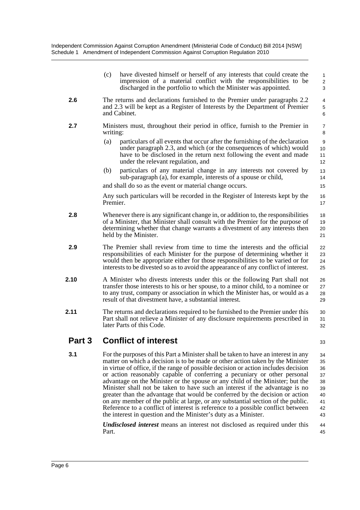|        | have divested himself or herself of any interests that could create the<br>(c)<br>impression of a material conflict with the responsibilities to be<br>discharged in the portfolio to which the Minister was appointed.                                                                                                                                                                                                                                                                                                                                                                                                                                                                                                                                                                                                         | $\mathbf{1}$<br>2<br>$\mathbf{3}$                        |  |
|--------|---------------------------------------------------------------------------------------------------------------------------------------------------------------------------------------------------------------------------------------------------------------------------------------------------------------------------------------------------------------------------------------------------------------------------------------------------------------------------------------------------------------------------------------------------------------------------------------------------------------------------------------------------------------------------------------------------------------------------------------------------------------------------------------------------------------------------------|----------------------------------------------------------|--|
| 2.6    | The returns and declarations furnished to the Premier under paragraphs 2.2<br>and 2.3 will be kept as a Register of Interests by the Department of Premier<br>and Cabinet.                                                                                                                                                                                                                                                                                                                                                                                                                                                                                                                                                                                                                                                      | 4<br>$\mathbf 5$<br>6                                    |  |
| 2.7    | Ministers must, throughout their period in office, furnish to the Premier in<br>writing:                                                                                                                                                                                                                                                                                                                                                                                                                                                                                                                                                                                                                                                                                                                                        | $\overline{7}$<br>8                                      |  |
|        | particulars of all events that occur after the furnishing of the declaration<br>(a)<br>under paragraph 2.3, and which (or the consequences of which) would<br>have to be disclosed in the return next following the event and made<br>under the relevant regulation, and                                                                                                                                                                                                                                                                                                                                                                                                                                                                                                                                                        | 9<br>10<br>11<br>12                                      |  |
|        | particulars of any material change in any interests not covered by<br>(b)<br>sub-paragraph (a), for example, interests of a spouse or child,<br>and shall do so as the event or material change occurs.                                                                                                                                                                                                                                                                                                                                                                                                                                                                                                                                                                                                                         | 13<br>14<br>15                                           |  |
|        | Any such particulars will be recorded in the Register of Interests kept by the<br>Premier.                                                                                                                                                                                                                                                                                                                                                                                                                                                                                                                                                                                                                                                                                                                                      | 16<br>17                                                 |  |
| 2.8    | Whenever there is any significant change in, or addition to, the responsibilities<br>of a Minister, that Minister shall consult with the Premier for the purpose of<br>determining whether that change warrants a divestment of any interests then<br>held by the Minister.                                                                                                                                                                                                                                                                                                                                                                                                                                                                                                                                                     |                                                          |  |
| 2.9    | The Premier shall review from time to time the interests and the official<br>22<br>responsibilities of each Minister for the purpose of determining whether it<br>23<br>would then be appropriate either for those responsibilities to be varied or for<br>24<br>interests to be divested so as to avoid the appearance of any conflict of interest.<br>25                                                                                                                                                                                                                                                                                                                                                                                                                                                                      |                                                          |  |
| 2.10   | A Minister who divests interests under this or the following Part shall not<br>transfer those interests to his or her spouse, to a minor child, to a nominee or<br>to any trust, company or association in which the Minister has, or would as a<br>result of that divestment have, a substantial interest.                                                                                                                                                                                                                                                                                                                                                                                                                                                                                                                     | 26<br>27<br>28<br>29                                     |  |
| 2.11   | The returns and declarations required to be furnished to the Premier under this<br>Part shall not relieve a Minister of any disclosure requirements prescribed in<br>later Parts of this Code.                                                                                                                                                                                                                                                                                                                                                                                                                                                                                                                                                                                                                                  | 30<br>31<br>32                                           |  |
| Part 3 | <b>Conflict of interest</b>                                                                                                                                                                                                                                                                                                                                                                                                                                                                                                                                                                                                                                                                                                                                                                                                     | 33                                                       |  |
| 3.1    | For the purposes of this Part a Minister shall be taken to have an interest in any<br>matter on which a decision is to be made or other action taken by the Minister<br>in virtue of office, if the range of possible decision or action includes decision<br>or action reasonably capable of conferring a pecuniary or other personal<br>advantage on the Minister or the spouse or any child of the Minister; but the<br>Minister shall not be taken to have such an interest if the advantage is no<br>greater than the advantage that would be conferred by the decision or action<br>on any member of the public at large, or any substantial section of the public.<br>Reference to a conflict of interest is reference to a possible conflict between<br>the interest in question and the Minister's duty as a Minister. | 34<br>35<br>36<br>37<br>38<br>39<br>40<br>41<br>42<br>43 |  |

*Undisclosed interest* means an interest not disclosed as required under this Part. 44 45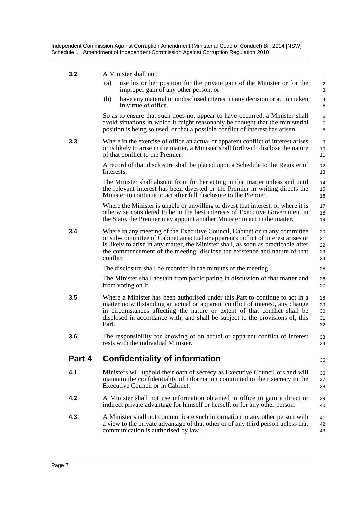| $\mathbf{1}$                                                                                                                                                                                                                                                                                                                                                     |
|------------------------------------------------------------------------------------------------------------------------------------------------------------------------------------------------------------------------------------------------------------------------------------------------------------------------------------------------------------------|
| use his or her position for the private gain of the Minister or for the<br>$\overline{2}$<br>3                                                                                                                                                                                                                                                                   |
| have any material or undisclosed interest in any decision or action taken<br>$\overline{4}$<br>$\mathbf 5$                                                                                                                                                                                                                                                       |
| So as to ensure that such does not appear to have occurred, a Minister shall<br>6<br>avoid situations in which it might reasonably be thought that the ministerial<br>$\overline{7}$<br>position is being so used, or that a possible conflict of interest has arisen.<br>8                                                                                      |
| Where in the exercise of office an actual or apparent conflict of interest arises<br>9<br>or is likely to arise in the matter, a Minister shall forthwith disclose the nature<br>10<br>11                                                                                                                                                                        |
| A record of that disclosure shall be placed upon a Schedule to the Register of<br>12<br>13                                                                                                                                                                                                                                                                       |
| The Minister shall abstain from further acting in that matter unless and until<br>14<br>the relevant interest has been divested or the Premier in writing directs the<br>15<br>16                                                                                                                                                                                |
| Where the Minister is unable or unwilling to divest that interest, or where it is<br>17<br>otherwise considered to be in the best interests of Executive Government in<br>18<br>the State, the Premier may appoint another Minister to act in the matter.<br>19                                                                                                  |
| Where in any meeting of the Executive Council, Cabinet or in any committee<br>20<br>or sub-committee of Cabinet an actual or apparent conflict of interest arises or<br>21<br>is likely to arise in any matter, the Minister shall, as soon as practicable after<br>22<br>the commencement of the meeting, disclose the existence and nature of that<br>23<br>24 |
| 25                                                                                                                                                                                                                                                                                                                                                               |
| The Minister shall abstain from participating in discussion of that matter and<br>26<br>27                                                                                                                                                                                                                                                                       |
| Where a Minister has been authorised under this Part to continue to act in a<br>28<br>matter notwithstanding an actual or apparent conflict of interest, any change<br>29<br>in circumstances affecting the nature or extent of that conflict shall be<br>30<br>disclosed in accordance with, and shall be subject to the provisions of, this<br>31<br>32        |
| The responsibility for knowing of an actual or apparent conflict of interest<br>33<br>34                                                                                                                                                                                                                                                                         |
| 35                                                                                                                                                                                                                                                                                                                                                               |
| Ministers will uphold their oath of secrecy as Executive Councillors and will<br>36<br>maintain the confidentiality of information committed to their secrecy in the<br>37<br>38                                                                                                                                                                                 |
| A Minister shall not use information obtained in office to gain a direct or<br>39<br>indirect private advantage for himself or herself, or for any other person.<br>40                                                                                                                                                                                           |
|                                                                                                                                                                                                                                                                                                                                                                  |
|                                                                                                                                                                                                                                                                                                                                                                  |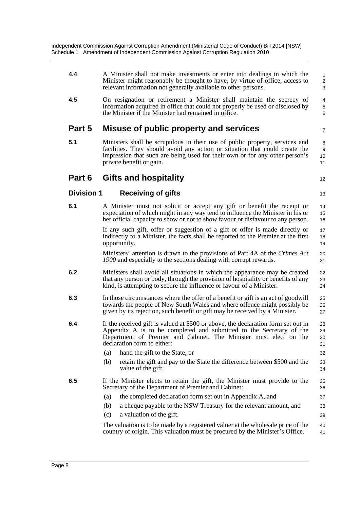| 4.4               | A Minister shall not make investments or enter into dealings in which the<br>Minister might reasonably be thought to have, by virtue of office, access to<br>relevant information not generally available to other persons.                                           | 1<br>2<br>3           |
|-------------------|-----------------------------------------------------------------------------------------------------------------------------------------------------------------------------------------------------------------------------------------------------------------------|-----------------------|
| 4.5               | On resignation or retirement a Minister shall maintain the secrecy of<br>information acquired in office that could not properly be used or disclosed by<br>the Minister if the Minister had remained in office.                                                       | 4<br>$\mathbf 5$<br>6 |
| Part 5            | Misuse of public property and services                                                                                                                                                                                                                                | 7                     |
| 5.1               | Ministers shall be scrupulous in their use of public property, services and<br>facilities. They should avoid any action or situation that could create the<br>impression that such are being used for their own or for any other person's<br>private benefit or gain. | 8<br>9<br>10<br>11    |
| Part 6            | <b>Gifts and hospitality</b>                                                                                                                                                                                                                                          | 12                    |
| <b>Division 1</b> | <b>Receiving of gifts</b>                                                                                                                                                                                                                                             | 13                    |
| 6.1               | A Minister must not solicit or accept any gift or benefit the receipt or<br>expectation of which might in any way tend to influence the Minister in his or<br>her official capacity to show or not to show favour or disfavour to any person.                         | 14<br>15<br>16        |
|                   | If any such gift, offer or suggestion of a gift or offer is made directly or<br>indirectly to a Minister, the facts shall be reported to the Premier at the first<br>opportunity.                                                                                     | 17<br>18<br>19        |
|                   | Ministers' attention is drawn to the provisions of Part 4A of the Crimes Act<br>1900 and especially to the sections dealing with corrupt rewards.                                                                                                                     | 20<br>21              |
| 6.2               | Ministers shall avoid all situations in which the appearance may be created<br>that any person or body, through the provision of hospitality or benefits of any<br>kind, is attempting to secure the influence or favour of a Minister.                               | 22<br>23<br>24        |
| 6.3               | In those circumstances where the offer of a benefit or gift is an act of goodwill<br>towards the people of New South Wales and where offence might possibly be<br>given by its rejection, such benefit or gift may be received by a Minister.                         | 25<br>26<br>27        |
| 6.4               | If the received gift is valued at \$500 or above, the declaration form set out in<br>Appendix A is to be completed and submitted to the Secretary of the<br>Department of Premier and Cabinet. The Minister must elect on the<br>declaration form to either:          | 28<br>29<br>30<br>31  |
|                   | (a)<br>hand the gift to the State, or                                                                                                                                                                                                                                 | 32                    |
|                   | (b)<br>retain the gift and pay to the State the difference between \$500 and the<br>value of the gift.                                                                                                                                                                | 33<br>34              |
| 6.5               | If the Minister elects to retain the gift, the Minister must provide to the<br>Secretary of the Department of Premier and Cabinet:                                                                                                                                    | 35<br>36              |
|                   | (a)<br>the completed declaration form set out in Appendix A, and                                                                                                                                                                                                      | 37                    |
|                   | (b)<br>a cheque payable to the NSW Treasury for the relevant amount, and                                                                                                                                                                                              | 38                    |
|                   | (c)<br>a valuation of the gift.                                                                                                                                                                                                                                       | 39                    |
|                   | The valuation is to be made by a registered valuer at the wholesale price of the<br>country of origin. This valuation must be procured by the Minister's Office.                                                                                                      | 40<br>41              |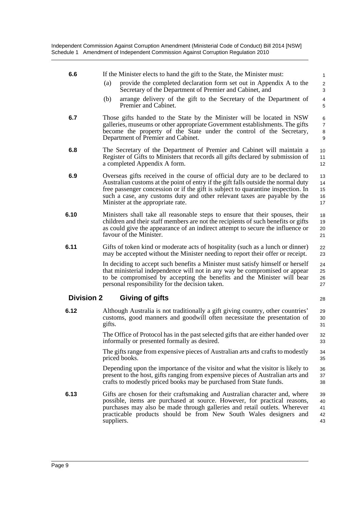| 6.6               | If the Minister elects to hand the gift to the State, the Minister must:<br>provide the completed declaration form set out in Appendix A to the<br>(a)<br>Secretary of the Department of Premier and Cabinet, and                                                                                                                                                        | $\mathbf{1}$<br>$\overline{2}$<br>3 |
|-------------------|--------------------------------------------------------------------------------------------------------------------------------------------------------------------------------------------------------------------------------------------------------------------------------------------------------------------------------------------------------------------------|-------------------------------------|
|                   | arrange delivery of the gift to the Secretary of the Department of<br>(b)<br>Premier and Cabinet.                                                                                                                                                                                                                                                                        | 4<br>5                              |
| 6.7               | Those gifts handed to the State by the Minister will be located in NSW<br>galleries, museums or other appropriate Government establishments. The gifts<br>become the property of the State under the control of the Secretary,<br>Department of Premier and Cabinet.                                                                                                     | 6<br>$\overline{7}$<br>8<br>9       |
| 6.8               | The Secretary of the Department of Premier and Cabinet will maintain a<br>Register of Gifts to Ministers that records all gifts declared by submission of<br>a completed Appendix A form.                                                                                                                                                                                | 10<br>11<br>12                      |
| 6.9               | Overseas gifts received in the course of official duty are to be declared to<br>Australian customs at the point of entry if the gift falls outside the normal duty<br>free passenger concession or if the gift is subject to quarantine inspection. In<br>such a case, any customs duty and other relevant taxes are payable by the<br>Minister at the appropriate rate. | 13<br>14<br>15<br>16<br>17          |
| 6.10              | Ministers shall take all reasonable steps to ensure that their spouses, their<br>children and their staff members are not the recipients of such benefits or gifts<br>as could give the appearance of an indirect attempt to secure the influence or<br>favour of the Minister.                                                                                          | 18<br>19<br>20<br>21                |
| 6.11              | Gifts of token kind or moderate acts of hospitality (such as a lunch or dinner)<br>may be accepted without the Minister needing to report their offer or receipt.                                                                                                                                                                                                        | 22<br>23                            |
|                   | In deciding to accept such benefits a Minister must satisfy himself or herself<br>that ministerial independence will not in any way be compromised or appear<br>to be compromised by accepting the benefits and the Minister will bear<br>personal responsibility for the decision taken.                                                                                | 24<br>25<br>26<br>27                |
| <b>Division 2</b> | Giving of gifts                                                                                                                                                                                                                                                                                                                                                          | 28                                  |
| 6.12              | Although Australia is not traditionally a gift giving country, other countries'<br>customs, good manners and goodwill often necessitate the presentation of<br>gifts.                                                                                                                                                                                                    | 29<br>30<br>31                      |
|                   | The Office of Protocol has in the past selected gifts that are either handed over<br>informally or presented formally as desired.                                                                                                                                                                                                                                        | 32<br>33                            |
|                   | The gifts range from expensive pieces of Australian arts and crafts to modestly<br>priced books.                                                                                                                                                                                                                                                                         | 34<br>35                            |
|                   | Depending upon the importance of the visitor and what the visitor is likely to<br>present to the host, gifts ranging from expensive pieces of Australian arts and<br>crafts to modestly priced books may be purchased from State funds.                                                                                                                                  | 36<br>37<br>38                      |
| 6.13              | Gifts are chosen for their craftsmaking and Australian character and, where<br>possible, items are purchased at source. However, for practical reasons,<br>purchases may also be made through galleries and retail outlets. Wherever<br>practicable products should be from New South Wales designers and<br>suppliers.                                                  | 39<br>40<br>41<br>42<br>43          |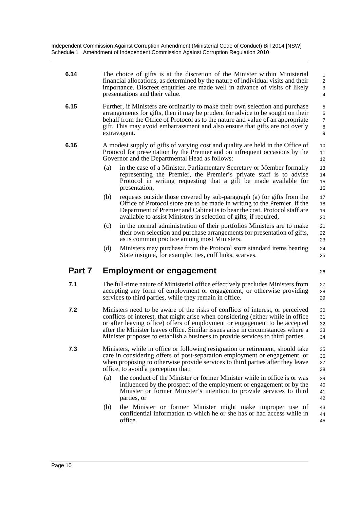| 6.14   |     | The choice of gifts is at the discretion of the Minister within Ministerial<br>financial allocations, as determined by the nature of individual visits and their<br>importance. Discreet enquiries are made well in advance of visits of likely<br>presentations and their value.                                                                                                                                                                                                                                             | $\mathbf{1}$<br>$\overline{c}$<br>3<br>4     |
|--------|-----|-------------------------------------------------------------------------------------------------------------------------------------------------------------------------------------------------------------------------------------------------------------------------------------------------------------------------------------------------------------------------------------------------------------------------------------------------------------------------------------------------------------------------------|----------------------------------------------|
| 6.15   |     | Further, if Ministers are ordinarily to make their own selection and purchase<br>arrangements for gifts, then it may be prudent for advice to be sought on their<br>behalf from the Office of Protocol as to the nature and value of an appropriate<br>gift. This may avoid embarrassment and also ensure that gifts are not overly<br>extravagant.                                                                                                                                                                           | 5<br>6<br>$\overline{7}$<br>8<br>9           |
| 6.16   | (a) | A modest supply of gifts of varying cost and quality are held in the Office of<br>Protocol for presentation by the Premier and on infrequent occasions by the<br>Governor and the Departmental Head as follows:<br>in the case of a Minister, Parliamentary Secretary or Member formally<br>representing the Premier, the Premier's private staff is to advise<br>Protocol in writing requesting that a gift be made available for<br>presentation,<br>requests outside those covered by sub-paragraph (a) for gifts from the | 10<br>11<br>12<br>13<br>14<br>15<br>16<br>17 |
|        | (b) | Office of Protocol store are to be made in writing to the Premier, if the<br>Department of Premier and Cabinet is to bear the cost. Protocol staff are<br>available to assist Ministers in selection of gifts, if required,                                                                                                                                                                                                                                                                                                   | 18<br>19<br>20                               |
|        | (c) | in the normal administration of their portfolios Ministers are to make<br>their own selection and purchase arrangements for presentation of gifts,<br>as is common practice among most Ministers,                                                                                                                                                                                                                                                                                                                             | 21<br>22<br>23                               |
|        | (d) | Ministers may purchase from the Protocol store standard items bearing<br>State insignia, for example, ties, cuff links, scarves.                                                                                                                                                                                                                                                                                                                                                                                              | 24<br>25                                     |
| Part 7 |     | <b>Employment or engagement</b>                                                                                                                                                                                                                                                                                                                                                                                                                                                                                               |                                              |
|        |     |                                                                                                                                                                                                                                                                                                                                                                                                                                                                                                                               | 26                                           |
| 7.1    |     | The full-time nature of Ministerial office effectively precludes Ministers from<br>accepting any form of employment or engagement, or otherwise providing<br>services to third parties, while they remain in office.                                                                                                                                                                                                                                                                                                          | 27<br>28<br>29                               |
| 7.2    |     | Ministers need to be aware of the risks of conflicts of interest, or perceived<br>conflicts of interest, that might arise when considering (either while in office<br>or after leaving office) offers of employment or engagement to be accepted<br>after the Minister leaves office. Similar issues arise in circumstances where a<br>Minister proposes to establish a business to provide services to third parties.                                                                                                        | 30<br>31<br>32<br>33<br>34                   |
| 7.3    |     | Ministers, while in office or following resignation or retirement, should take<br>care in considering offers of post-separation employment or engagement, or<br>when proposing to otherwise provide services to third parties after they leave<br>office, to avoid a perception that:                                                                                                                                                                                                                                         | 35<br>36<br>37<br>38                         |
|        | (a) | the conduct of the Minister or former Minister while in office is or was<br>influenced by the prospect of the employment or engagement or by the<br>Minister or former Minister's intention to provide services to third<br>parties, or                                                                                                                                                                                                                                                                                       | 39<br>40<br>41<br>42                         |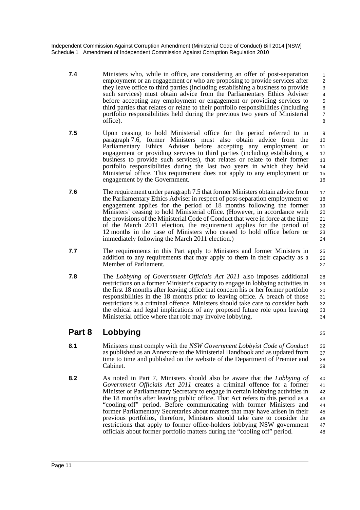- **7.4** Ministers who, while in office, are considering an offer of post-separation employment or an engagement or who are proposing to provide services after they leave office to third parties (including establishing a business to provide such services) must obtain advice from the Parliamentary Ethics Adviser before accepting any employment or engagement or providing services to third parties that relates or relate to their portfolio responsibilities (including portfolio responsibilities held during the previous two years of Ministerial office). 1 2 3 4 5 6 7 8
- **7.5** Upon ceasing to hold Ministerial office for the period referred to in paragraph 7.6, former Ministers must also obtain advice from the Parliamentary Ethics Adviser before accepting any employment or engagement or providing services to third parties (including establishing a business to provide such services), that relates or relate to their former portfolio responsibilities during the last two years in which they held Ministerial office. This requirement does not apply to any employment or engagement by the Government. 9 10 11 12 13 14 15 16
- **7.6** The requirement under paragraph 7.5 that former Ministers obtain advice from the Parliamentary Ethics Adviser in respect of post-separation employment or engagement applies for the period of 18 months following the former Ministers' ceasing to hold Ministerial office. (However, in accordance with the provisions of the Ministerial Code of Conduct that were in force at the time of the March 2011 election, the requirement applies for the period of 12 months in the case of Ministers who ceased to hold office before or immediately following the March 2011 election.) 17 18 19 20 21 22 23  $24$
- **7.7** The requirements in this Part apply to Ministers and former Ministers in addition to any requirements that may apply to them in their capacity as a Member of Parliament. 25 26 27
- **7.8** The *Lobbying of Government Officials Act 2011* also imposes additional restrictions on a former Minister's capacity to engage in lobbying activities in the first 18 months after leaving office that concern his or her former portfolio responsibilities in the 18 months prior to leaving office. A breach of those restrictions is a criminal offence. Ministers should take care to consider both the ethical and legal implications of any proposed future role upon leaving Ministerial office where that role may involve lobbying. 28 29 30 31 32 33  $34$

## **Part 8 Lobbying**

**8.1** Ministers must comply with the *NSW Government Lobbyist Code of Conduct* as published as an Annexure to the Ministerial Handbook and as updated from time to time and published on the website of the Department of Premier and Cabinet. 36 37 38 39

35

**8.2** As noted in Part 7, Ministers should also be aware that the *Lobbying of Government Officials Act 2011* creates a criminal offence for a former Minister or Parliamentary Secretary to engage in certain lobbying activities in the 18 months after leaving public office. That Act refers to this period as a "cooling-off" period. Before communicating with former Ministers and former Parliamentary Secretaries about matters that may have arisen in their previous portfolios, therefore, Ministers should take care to consider the restrictions that apply to former office-holders lobbying NSW government officials about former portfolio matters during the "cooling off" period. 40 41 42 43 44 45 46 47 48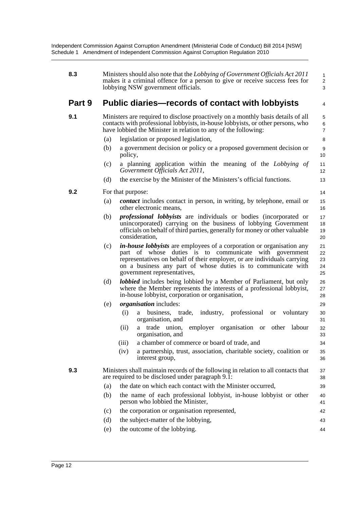| 8.3    |     | Ministers should also note that the Lobbying of Government Officials Act 2011<br>makes it a criminal offence for a person to give or receive success fees for<br>lobbying NSW government officials.                                                                                                                | $\mathbf{1}$<br>$\overline{2}$<br>3 |
|--------|-----|--------------------------------------------------------------------------------------------------------------------------------------------------------------------------------------------------------------------------------------------------------------------------------------------------------------------|-------------------------------------|
| Part 9 |     | Public diaries—records of contact with lobbyists                                                                                                                                                                                                                                                                   | 4                                   |
| 9.1    |     | Ministers are required to disclose proactively on a monthly basis details of all<br>contacts with professional lobbyists, in-house lobbyists, or other persons, who<br>have lobbied the Minister in relation to any of the following:                                                                              | 5<br>6<br>$\overline{7}$            |
|        | (a) | legislation or proposed legislation,                                                                                                                                                                                                                                                                               | 8                                   |
|        | (b) | a government decision or policy or a proposed government decision or<br>policy,                                                                                                                                                                                                                                    | 9<br>10                             |
|        | (c) | a planning application within the meaning of the Lobbying of<br>Government Officials Act 2011,                                                                                                                                                                                                                     | 11<br>12                            |
|        | (d) | the exercise by the Minister of the Ministers's official functions.                                                                                                                                                                                                                                                | 13                                  |
| 9.2    |     | For that purpose:                                                                                                                                                                                                                                                                                                  | 14                                  |
|        | (a) | <i>contact</i> includes contact in person, in writing, by telephone, email or<br>other electronic means,                                                                                                                                                                                                           | 15<br>16                            |
|        | (b) | <i>professional lobbyists</i> are individuals or bodies (incorporated or<br>unincorporated) carrying on the business of lobbying Government<br>officials on behalf of third parties, generally for money or other valuable<br>consideration.                                                                       | 17<br>18<br>19<br>20                |
|        | (c) | <i>in-house lobbyists</i> are employees of a corporation or organisation any<br>part of whose duties is to communicate with government<br>representatives on behalf of their employer, or are individuals carrying<br>on a business any part of whose duties is to communicate with<br>government representatives, | 21<br>22<br>23<br>24<br>25          |
|        | (d) | <i>lobbied</i> includes being lobbied by a Member of Parliament, but only<br>where the Member represents the interests of a professional lobbyist,<br>in-house lobbyist, corporation or organisation,                                                                                                              | 26<br>27<br>28                      |
|        | (e) | <i>organisation</i> includes:                                                                                                                                                                                                                                                                                      | 29                                  |
|        |     | business, trade,<br>industry, professional<br>(i)<br>voluntary<br><b>or</b><br>a<br>organisation, and                                                                                                                                                                                                              | 30<br>31                            |
|        |     | employer organisation or<br>trade union,<br>other<br>(ii)<br>labour<br>a<br>organisation, and                                                                                                                                                                                                                      | 32<br>33                            |
|        |     | a chamber of commerce or board of trade, and<br>(iii)                                                                                                                                                                                                                                                              | 34                                  |
|        |     | (iv)<br>a partnership, trust, association, charitable society, coalition or<br>interest group,                                                                                                                                                                                                                     | 35<br>36                            |
| 9.3    |     | Ministers shall maintain records of the following in relation to all contacts that<br>are required to be disclosed under paragraph 9.1:                                                                                                                                                                            | 37<br>38                            |
|        | (a) | the date on which each contact with the Minister occurred,                                                                                                                                                                                                                                                         | 39                                  |
|        | (b) | the name of each professional lobbyist, in-house lobbyist or other<br>person who lobbied the Minister,                                                                                                                                                                                                             | 40<br>41                            |
|        | (c) | the corporation or organisation represented,                                                                                                                                                                                                                                                                       | 42                                  |
|        | (d) | the subject-matter of the lobbying,                                                                                                                                                                                                                                                                                | 43                                  |
|        | (e) | the outcome of the lobbying.                                                                                                                                                                                                                                                                                       | 44                                  |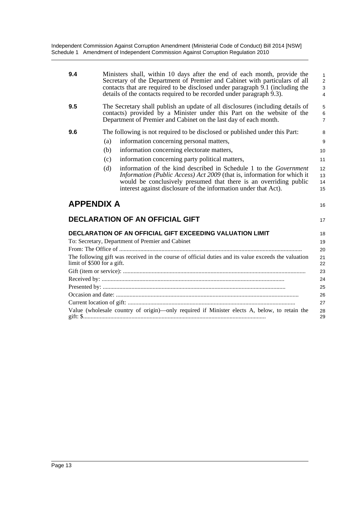| 9.4                        |     | Ministers shall, within 10 days after the end of each month, provide the<br>Secretary of the Department of Premier and Cabinet with particulars of all<br>contacts that are required to be disclosed under paragraph 9.1 (including the<br>details of the contacts required to be recorded under paragraph 9.3). | 1<br>$\overline{\mathbf{c}}$<br>3<br>4 |
|----------------------------|-----|------------------------------------------------------------------------------------------------------------------------------------------------------------------------------------------------------------------------------------------------------------------------------------------------------------------|----------------------------------------|
| 9.5                        |     | The Secretary shall publish an update of all disclosures (including details of<br>contacts) provided by a Minister under this Part on the website of the<br>Department of Premier and Cabinet on the last day of each month.                                                                                     | 5<br>6<br>$\overline{7}$               |
| 9.6                        |     | The following is not required to be disclosed or published under this Part:                                                                                                                                                                                                                                      | 8                                      |
|                            | (a) | information concerning personal matters,                                                                                                                                                                                                                                                                         | 9                                      |
|                            | (b) | information concerning electorate matters,                                                                                                                                                                                                                                                                       | 10                                     |
|                            | (c) | information concerning party political matters,                                                                                                                                                                                                                                                                  | 11                                     |
|                            | (d) | information of the kind described in Schedule 1 to the Government<br>Information (Public Access) Act 2009 (that is, information for which it<br>would be conclusively presumed that there is an overriding public<br>interest against disclosure of the information under that Act).                             | 12<br>13<br>14<br>15                   |
| <b>APPENDIX A</b>          |     |                                                                                                                                                                                                                                                                                                                  | 16                                     |
|                            |     | <b>DECLARATION OF AN OFFICIAL GIFT</b>                                                                                                                                                                                                                                                                           | 17                                     |
|                            |     | <b>DECLARATION OF AN OFFICIAL GIFT EXCEEDING VALUATION LIMIT</b>                                                                                                                                                                                                                                                 | 18                                     |
|                            |     | To: Secretary, Department of Premier and Cabinet                                                                                                                                                                                                                                                                 | 19                                     |
|                            |     |                                                                                                                                                                                                                                                                                                                  | 20                                     |
| limit of \$500 for a gift. |     | The following gift was received in the course of official duties and its value exceeds the valuation                                                                                                                                                                                                             | 21<br>22                               |
|                            |     |                                                                                                                                                                                                                                                                                                                  | 23                                     |
|                            |     |                                                                                                                                                                                                                                                                                                                  | 24                                     |
|                            |     |                                                                                                                                                                                                                                                                                                                  | 25                                     |
|                            |     |                                                                                                                                                                                                                                                                                                                  | 26                                     |
|                            |     |                                                                                                                                                                                                                                                                                                                  | 27                                     |
|                            |     | Value (wholesale country of origin)—only required if Minister elects A, below, to retain the                                                                                                                                                                                                                     | 28<br>29                               |